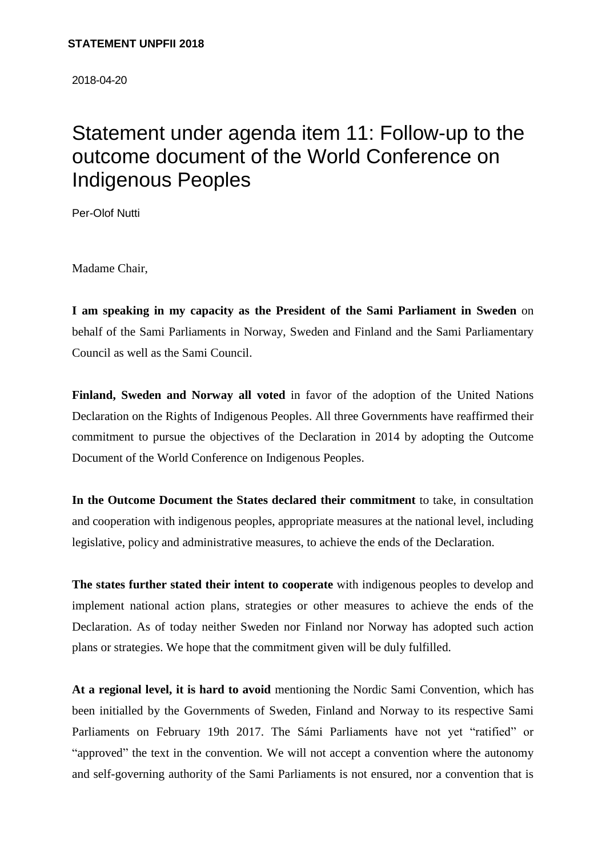2018-04-20

## Statement under agenda item 11: Follow-up to the outcome document of the World Conference on Indigenous Peoples

Per-Olof Nutti

Madame Chair,

**I am speaking in my capacity as the President of the Sami Parliament in Sweden** on behalf of the Sami Parliaments in Norway, Sweden and Finland and the Sami Parliamentary Council as well as the Sami Council.

**Finland, Sweden and Norway all voted** in favor of the adoption of the United Nations Declaration on the Rights of Indigenous Peoples. All three Governments have reaffirmed their commitment to pursue the objectives of the Declaration in 2014 by adopting the Outcome Document of the World Conference on Indigenous Peoples.

**In the Outcome Document the States declared their commitment** to take, in consultation and cooperation with indigenous peoples, appropriate measures at the national level, including legislative, policy and administrative measures, to achieve the ends of the Declaration.

**The states further stated their intent to cooperate** with indigenous peoples to develop and implement national action plans, strategies or other measures to achieve the ends of the Declaration. As of today neither Sweden nor Finland nor Norway has adopted such action plans or strategies. We hope that the commitment given will be duly fulfilled.

**At a regional level, it is hard to avoid** mentioning the Nordic Sami Convention, which has been initialled by the Governments of Sweden, Finland and Norway to its respective Sami Parliaments on February 19th 2017. The Sámi Parliaments have not yet "ratified" or "approved" the text in the convention. We will not accept a convention where the autonomy and self-governing authority of the Sami Parliaments is not ensured, nor a convention that is